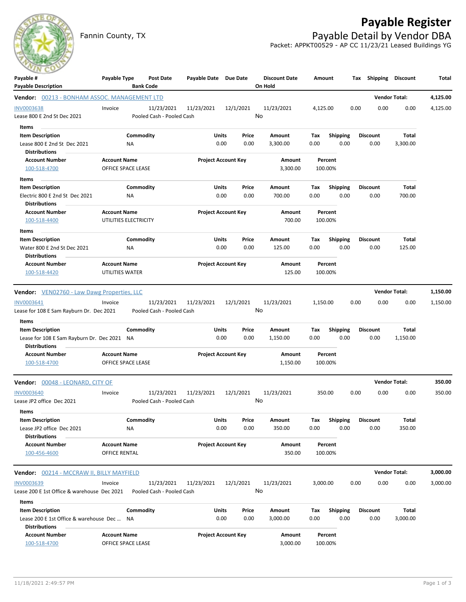Fannin County, TX **Payable Detail by Vendor DBA** 

## **Payable Register**



Packet: APPKT00529 - AP CC 11/23/21 Leased Buildings YG

| $\sim$                                                 |                                           |                               |                       |                            |                                 |          |                    |      |                 |                      |          |
|--------------------------------------------------------|-------------------------------------------|-------------------------------|-----------------------|----------------------------|---------------------------------|----------|--------------------|------|-----------------|----------------------|----------|
| Payable #<br><b>Payable Description</b>                | Payable Type                              | Post Date<br><b>Bank Code</b> | Payable Date Due Date |                            | <b>Discount Date</b><br>On Hold |          | Amount             |      | Tax Shipping    | Discount             | Total    |
| Vendor: 00213 - BONHAM ASSOC. MANAGEMENT LTD           |                                           |                               |                       |                            |                                 |          |                    |      |                 | <b>Vendor Total:</b> | 4,125.00 |
| <b>INV0003638</b>                                      | Invoice                                   | 11/23/2021                    | 11/23/2021            | 12/1/2021                  | 11/23/2021                      | 4,125.00 |                    | 0.00 | 0.00            | 0.00                 | 4,125.00 |
| Lease 800 E 2nd St Dec 2021                            |                                           | Pooled Cash - Pooled Cash     |                       |                            | No                              |          |                    |      |                 |                      |          |
| Items                                                  |                                           |                               |                       |                            |                                 |          |                    |      |                 |                      |          |
| <b>Item Description</b>                                |                                           | Commodity                     | Units                 | Price                      | Amount                          | Tax      | <b>Shipping</b>    |      | <b>Discount</b> | Total                |          |
| Lease 800 E 2nd St Dec 2021                            | ΝA                                        |                               |                       | 0.00<br>0.00               | 3,300.00                        | 0.00     | 0.00               |      | 0.00            | 3,300.00             |          |
| <b>Distributions</b>                                   |                                           |                               |                       |                            |                                 |          |                    |      |                 |                      |          |
| <b>Account Number</b><br>100-518-4700                  | <b>Account Name</b><br>OFFICE SPACE LEASE |                               |                       | <b>Project Account Key</b> | Amount<br>3,300.00              |          | Percent<br>100.00% |      |                 |                      |          |
| Items                                                  |                                           |                               |                       |                            |                                 |          |                    |      |                 |                      |          |
| <b>Item Description</b>                                |                                           | Commodity                     | Units                 | Price                      | Amount                          | Tax      | Shipping           |      | <b>Discount</b> | Total                |          |
| Electric 800 E 2nd St Dec 2021<br><b>Distributions</b> | NA                                        |                               |                       | 0.00<br>0.00               | 700.00                          | 0.00     | 0.00               |      | 0.00            | 700.00               |          |
| <b>Account Number</b>                                  | <b>Account Name</b>                       |                               |                       | <b>Project Account Key</b> | Amount                          |          | Percent            |      |                 |                      |          |
| 100-518-4400                                           | UTILITIES ELECTRICITY                     |                               |                       |                            | 700.00                          |          | 100.00%            |      |                 |                      |          |
| Items                                                  |                                           |                               |                       |                            |                                 |          |                    |      |                 |                      |          |
| <b>Item Description</b>                                |                                           | Commodity                     | Units                 | Price                      | Amount                          | Tax      | <b>Shipping</b>    |      | <b>Discount</b> | Total                |          |
| Water 800 E 2nd St Dec 2021                            | ΝA                                        |                               |                       | 0.00<br>0.00               | 125.00                          | 0.00     | 0.00               |      | 0.00            | 125.00               |          |
| <b>Distributions</b>                                   |                                           |                               |                       |                            |                                 |          |                    |      |                 |                      |          |
| <b>Account Number</b>                                  | <b>Account Name</b>                       |                               |                       | <b>Project Account Key</b> | Amount                          |          | Percent            |      |                 |                      |          |
| 100-518-4420                                           | UTILITIES WATER                           |                               |                       |                            | 125.00                          |          | 100.00%            |      |                 |                      |          |
| <b>Vendor:</b> VEN02760 - Law Dawg Properties, LLC     |                                           |                               |                       |                            |                                 |          |                    |      |                 | <b>Vendor Total:</b> | 1,150.00 |
| INV0003641                                             | Invoice                                   | 11/23/2021                    | 11/23/2021            | 12/1/2021                  | 11/23/2021                      | 1,150.00 |                    | 0.00 | 0.00            | 0.00                 | 1,150.00 |
| Lease for 108 E Sam Rayburn Dr. Dec 2021               |                                           | Pooled Cash - Pooled Cash     |                       |                            | No                              |          |                    |      |                 |                      |          |
| Items                                                  |                                           |                               |                       |                            |                                 |          |                    |      |                 |                      |          |
| <b>Item Description</b>                                |                                           | Commodity                     | Units                 | Price                      | Amount                          | Тах      | <b>Shipping</b>    |      | Discount        | Total                |          |
| Lease for 108 E Sam Rayburn Dr. Dec 2021 NA            |                                           |                               |                       | 0.00<br>0.00               | 1,150.00                        | 0.00     | 0.00               |      | 0.00            | 1,150.00             |          |
| <b>Distributions</b>                                   |                                           |                               |                       |                            |                                 |          |                    |      |                 |                      |          |
| <b>Account Number</b>                                  | <b>Account Name</b>                       |                               |                       | <b>Project Account Key</b> | Amount                          |          | Percent            |      |                 |                      |          |
| 100-518-4700                                           | OFFICE SPACE LEASE                        |                               |                       |                            | 1,150.00                        |          | 100.00%            |      |                 |                      |          |
| Vendor: 00048 - LEONARD, CITY OF                       |                                           |                               |                       |                            |                                 |          |                    |      |                 | <b>Vendor Total:</b> | 350.00   |
| <b>INV0003640</b>                                      | Invoice                                   | 11/23/2021                    | 11/23/2021            | 12/1/2021                  | 11/23/2021                      |          | 350.00             | 0.00 | 0.00            | 0.00                 | 350.00   |
| Lease JP2 office Dec 2021                              |                                           | Pooled Cash - Pooled Cash     |                       |                            | No                              |          |                    |      |                 |                      |          |
| Items                                                  |                                           |                               |                       |                            |                                 |          |                    |      |                 |                      |          |
| <b>Item Description</b>                                |                                           | Commodity                     | Units                 | Price                      | Amount                          | Tax      | <b>Shipping</b>    |      | <b>Discount</b> | Total                |          |
| Lease JP2 office Dec 2021<br><b>Distributions</b>      | ΝA                                        |                               |                       | 0.00<br>0.00               | 350.00                          | 0.00     | 0.00               |      | 0.00            | 350.00               |          |
| <b>Account Number</b>                                  | <b>Account Name</b>                       |                               |                       | <b>Project Account Key</b> | Amount                          |          | Percent            |      |                 |                      |          |
| 100-456-4600                                           | OFFICE RENTAL                             |                               |                       |                            | 350.00                          |          | 100.00%            |      |                 |                      |          |
| Vendor: 00214 - MCCRAW II, BILLY MAYFIELD              |                                           |                               |                       |                            |                                 |          |                    |      |                 | <b>Vendor Total:</b> | 3,000.00 |
| INV0003639                                             | Invoice                                   | 11/23/2021                    | 11/23/2021            | 12/1/2021                  | 11/23/2021                      | 3,000.00 |                    | 0.00 | 0.00            | 0.00                 | 3,000.00 |
| Lease 200 E 1st Office & warehouse Dec 2021            |                                           | Pooled Cash - Pooled Cash     |                       |                            | No                              |          |                    |      |                 |                      |          |
| Items                                                  |                                           |                               |                       |                            |                                 |          |                    |      |                 |                      |          |
| <b>Item Description</b>                                |                                           | Commodity                     | Units                 | Price                      | Amount                          | Tax      | <b>Shipping</b>    |      | <b>Discount</b> | Total                |          |
| Lease 200 E 1st Office & warehouse Dec  NA             |                                           |                               |                       | 0.00<br>0.00               | 3,000.00                        | 0.00     | 0.00               |      | 0.00            | 3,000.00             |          |
| <b>Distributions</b>                                   |                                           |                               |                       |                            |                                 |          |                    |      |                 |                      |          |
| <b>Account Number</b>                                  | <b>Account Name</b>                       |                               |                       | <b>Project Account Key</b> | Amount                          |          | Percent            |      |                 |                      |          |
| 100-518-4700                                           | OFFICE SPACE LEASE                        |                               |                       |                            | 3,000.00                        |          | 100.00%            |      |                 |                      |          |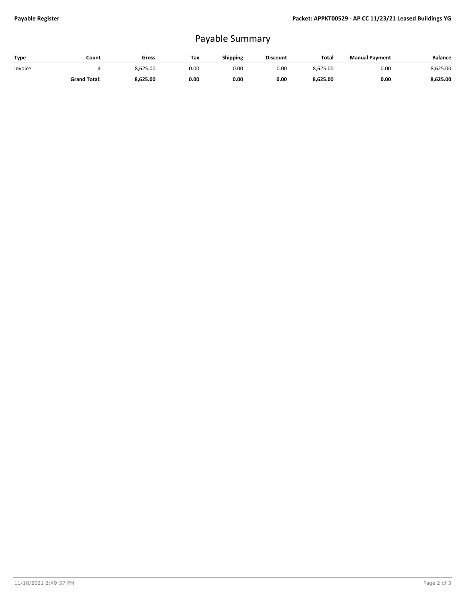## Payable Summary

| Type    | Count               | Gross    | Tax  | <b>Shipping</b> | <b>Discount</b> | <b>Total</b> | <b>Manual Payment</b> | <b>Balance</b> |
|---------|---------------------|----------|------|-----------------|-----------------|--------------|-----------------------|----------------|
| Invoice |                     | 8.625.00 | 0.00 | 0.OC            | 0.00            | 8,625.00     | 0.00                  | 8,625.00       |
|         | <b>Grand Total:</b> | 8,625.00 | 0.00 | 0.00            | 0.00            | 8,625.00     | 0.00                  | 8,625.00       |